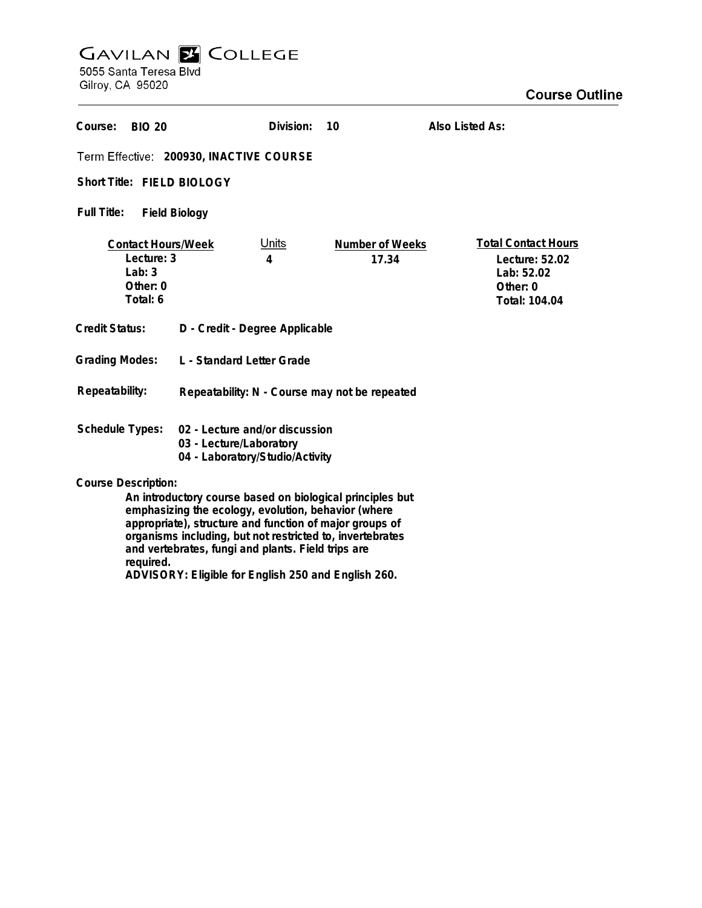## **GAVILAN E COLLEGE**<br>5055 Santa Teresa Blvd

Gilroy, CA 95020

required.

ADVISORY: Eligible for English 250 and English 260.

| Course:<br><b>BIO 20</b>                                                                                                                                                                                                                                                                       |                                               | Division:         | 10                       | Also Listed As:                                                                         |
|------------------------------------------------------------------------------------------------------------------------------------------------------------------------------------------------------------------------------------------------------------------------------------------------|-----------------------------------------------|-------------------|--------------------------|-----------------------------------------------------------------------------------------|
| Term Effective: 200930, INACTIVE COURSE                                                                                                                                                                                                                                                        |                                               |                   |                          |                                                                                         |
| Short Title: FIELD BIOLOGY                                                                                                                                                                                                                                                                     |                                               |                   |                          |                                                                                         |
| Full Title:<br><b>Field Biology</b>                                                                                                                                                                                                                                                            |                                               |                   |                          |                                                                                         |
| <b>Contact Hours/Week</b><br>Lecture: 3<br>Lab: $3$<br>Other: 0<br>Total: 6                                                                                                                                                                                                                    |                                               | <u>Units</u><br>4 | Number of Weeks<br>17.34 | <b>Total Contact Hours</b><br>Lecture: 52.02<br>Lab: 52.02<br>Other: 0<br>Total: 104.04 |
| <b>Credit Status:</b>                                                                                                                                                                                                                                                                          | D - Credit - Degree Applicable                |                   |                          |                                                                                         |
| <b>Grading Modes:</b>                                                                                                                                                                                                                                                                          | L - Standard Letter Grade                     |                   |                          |                                                                                         |
| Repeatability:                                                                                                                                                                                                                                                                                 | Repeatability: N - Course may not be repeated |                   |                          |                                                                                         |
| <b>Schedule Types:</b><br>02 - Lecture and/or discussion<br>03 - Lecture/Laboratory<br>04 - Laboratory/Studio/Activity                                                                                                                                                                         |                                               |                   |                          |                                                                                         |
| <b>Course Description:</b>                                                                                                                                                                                                                                                                     |                                               |                   |                          |                                                                                         |
| An introductory course based on biological principles but<br>emphasizing the ecology, evolution, behavior (where<br>appropriate), structure and function of major groups of<br>organisms including, but not restricted to, invertebrates<br>and vertebrates, fungi and plants. Field trips are |                                               |                   |                          |                                                                                         |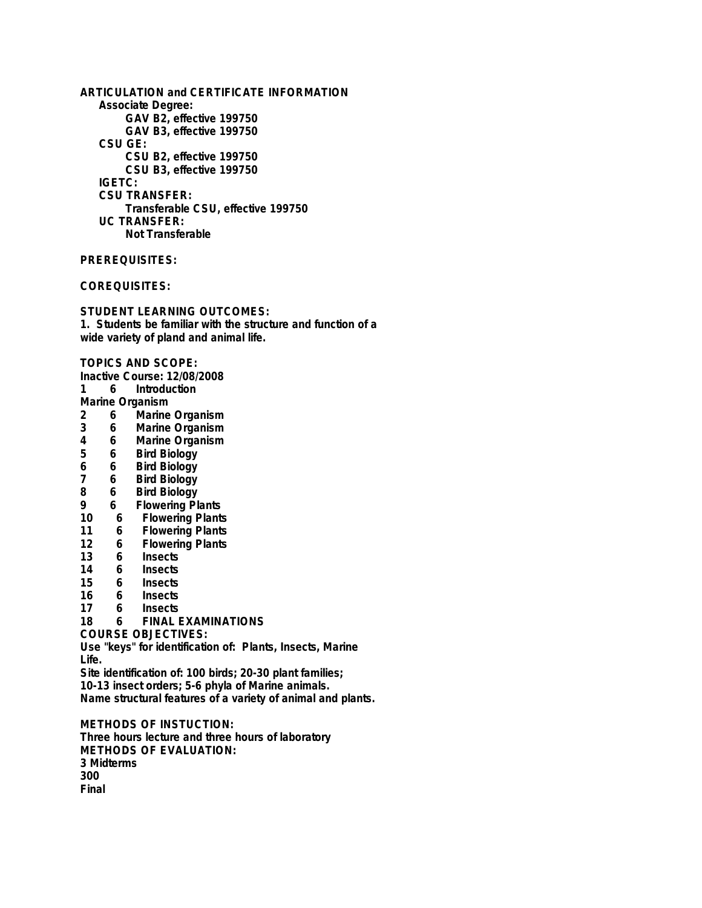**ARTICULATION and CERTIFICATE INFORMATION Associate Degree: GAV B2, effective 199750 GAV B3, effective 199750 CSU GE: CSU B2, effective 199750 CSU B3, effective 199750 IGETC: CSU TRANSFER: Transferable CSU, effective 199750 UC TRANSFER: Not Transferable**

**PREREQUISITES:**

**COREQUISITES:**

**STUDENT LEARNING OUTCOMES: 1. Students be familiar with the structure and function of a wide variety of pland and animal life.**

**TOPICS AND SCOPE:**

- **Inactive Course: 12/08/2008**
- **1 6 Introduction**

Marine Organism<br>2 6 Marine

- **2 6 Marine Organism**
- **3 6 Marine Organism**
- **4 6 Marine Organism**
- **5 6 Bird Biology**
- **6 6 Bird Biology**
- **7 6 Bird Biology**
- **8 6 Bird Biology**
- **9 6 Flowering Plants**
- **10 6 Flowering Plants**
- **11 6 Flowering Plants**
- **12 6 Flowering Plants**
- **13 6 Insects**
- **14 6 Insects**
- **15 6 Insects**
- **16 6 Insects**
- **17 6 Insects**

**18 6 FINAL EXAMINATIONS**

**COURSE OBJECTIVES:**

**Use "keys" for identification of: Plants, Insects, Marine Life.**

**Site identification of: 100 birds; 20-30 plant families;**

**10-13 insect orders; 5-6 phyla of Marine animals.**

**Name structural features of a variety of animal and plants.**

**METHODS OF INSTUCTION: Three hours lecture and three hours of laboratory METHODS OF EVALUATION: 3 Midterms 300 Final**